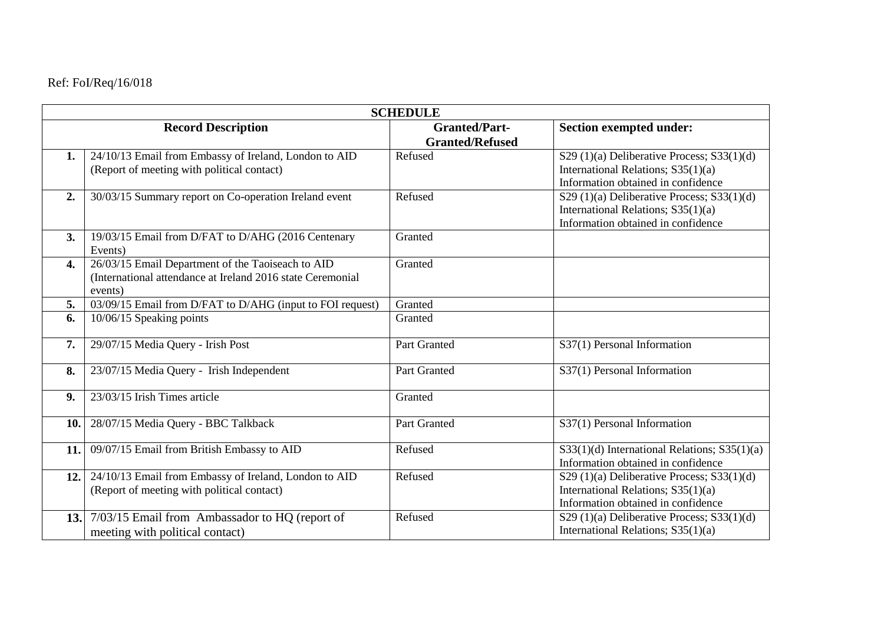## Ref: FoI/Req/16/018

| <b>SCHEDULE</b>           |                                                                                                                            |                                                |                                                                                                                             |  |
|---------------------------|----------------------------------------------------------------------------------------------------------------------------|------------------------------------------------|-----------------------------------------------------------------------------------------------------------------------------|--|
| <b>Record Description</b> |                                                                                                                            | <b>Granted/Part-</b><br><b>Granted/Refused</b> | <b>Section exempted under:</b>                                                                                              |  |
| 1.                        | 24/10/13 Email from Embassy of Ireland, London to AID<br>(Report of meeting with political contact)                        | Refused                                        | S29 $(1)(a)$ Deliberative Process; S33 $(1)(d)$<br>International Relations; S35(1)(a)<br>Information obtained in confidence |  |
| 2.                        | 30/03/15 Summary report on Co-operation Ireland event                                                                      | Refused                                        | S29 $(1)(a)$ Deliberative Process; S33 $(1)(d)$<br>International Relations; S35(1)(a)<br>Information obtained in confidence |  |
| 3.                        | 19/03/15 Email from D/FAT to D/AHG (2016 Centenary<br>Events)                                                              | Granted                                        |                                                                                                                             |  |
| 4.                        | 26/03/15 Email Department of the Taoiseach to AID<br>(International attendance at Ireland 2016 state Ceremonial<br>events) | Granted                                        |                                                                                                                             |  |
| 5.                        | 03/09/15 Email from D/FAT to D/AHG (input to FOI request)                                                                  | Granted                                        |                                                                                                                             |  |
| 6.                        | 10/06/15 Speaking points                                                                                                   | Granted                                        |                                                                                                                             |  |
| 7.                        | 29/07/15 Media Query - Irish Post                                                                                          | Part Granted                                   | S37(1) Personal Information                                                                                                 |  |
| 8.                        | 23/07/15 Media Query - Irish Independent                                                                                   | Part Granted                                   | S37(1) Personal Information                                                                                                 |  |
| 9.                        | 23/03/15 Irish Times article                                                                                               | Granted                                        |                                                                                                                             |  |
| 10.                       | 28/07/15 Media Query - BBC Talkback                                                                                        | Part Granted                                   | S37(1) Personal Information                                                                                                 |  |
| 11.                       | 09/07/15 Email from British Embassy to AID                                                                                 | Refused                                        | $S33(1)(d)$ International Relations; $S35(1)(a)$<br>Information obtained in confidence                                      |  |
| 12.                       | 24/10/13 Email from Embassy of Ireland, London to AID<br>(Report of meeting with political contact)                        | Refused                                        | S29 $(1)(a)$ Deliberative Process; S33 $(1)(d)$<br>International Relations; S35(1)(a)<br>Information obtained in confidence |  |
| 13.                       | 7/03/15 Email from Ambassador to HQ (report of<br>meeting with political contact)                                          | Refused                                        | S29 $(1)(a)$ Deliberative Process; S33 $(1)(d)$<br>International Relations; S35(1)(a)                                       |  |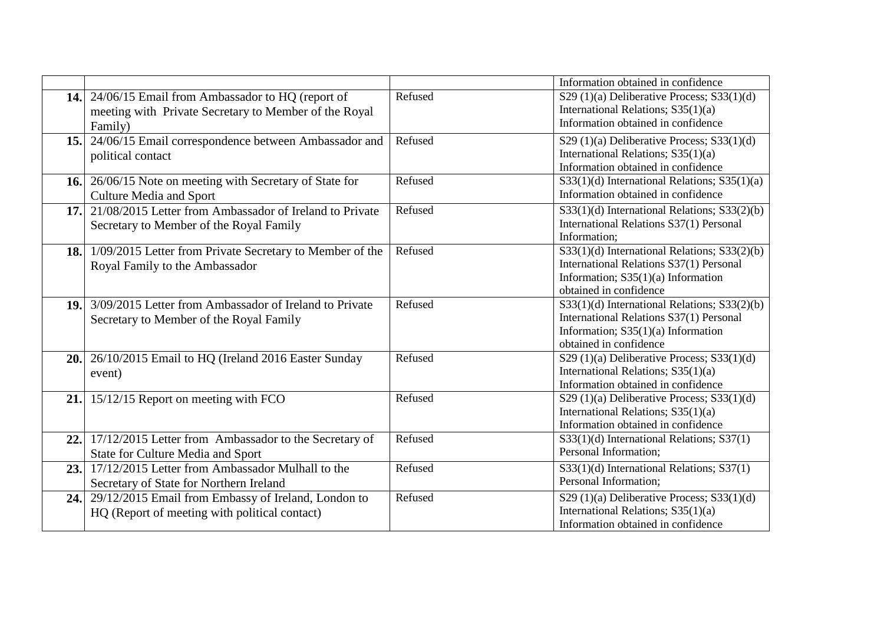|     |                                                                                                      |         | Information obtained in confidence                                                                                                                        |
|-----|------------------------------------------------------------------------------------------------------|---------|-----------------------------------------------------------------------------------------------------------------------------------------------------------|
|     | 14. 24/06/15 Email from Ambassador to HQ (report of                                                  | Refused | S29 $(1)(a)$ Deliberative Process; S33 $(1)(d)$<br>International Relations; S35(1)(a)                                                                     |
|     | meeting with Private Secretary to Member of the Royal<br>Family)                                     |         | Information obtained in confidence                                                                                                                        |
| 15. | 24/06/15 Email correspondence between Ambassador and<br>political contact                            | Refused | S29 $(1)(a)$ Deliberative Process; S33 $(1)(d)$<br>International Relations; S35(1)(a)<br>Information obtained in confidence                               |
|     | 16. 26/06/15 Note on meeting with Secretary of State for<br><b>Culture Media and Sport</b>           | Refused | $S33(1)(d)$ International Relations; S35(1)(a)<br>Information obtained in confidence                                                                      |
| 17. | 21/08/2015 Letter from Ambassador of Ireland to Private<br>Secretary to Member of the Royal Family   | Refused | S33(1)(d) International Relations; S33(2)(b)<br>International Relations S37(1) Personal<br>Information;                                                   |
|     | 18. 1/09/2015 Letter from Private Secretary to Member of the<br>Royal Family to the Ambassador       | Refused | S33(1)(d) International Relations; S33(2)(b)<br>International Relations S37(1) Personal<br>Information; $S35(1)(a)$ Information<br>obtained in confidence |
| 19. | 3/09/2015 Letter from Ambassador of Ireland to Private<br>Secretary to Member of the Royal Family    | Refused | S33(1)(d) International Relations; S33(2)(b)<br>International Relations S37(1) Personal<br>Information; $S35(1)(a)$ Information<br>obtained in confidence |
|     | 20. 26/10/2015 Email to HQ (Ireland 2016 Easter Sunday<br>event)                                     | Refused | S29 $(1)(a)$ Deliberative Process; S33 $(1)(d)$<br>International Relations; S35(1)(a)<br>Information obtained in confidence                               |
| 21. | 15/12/15 Report on meeting with FCO                                                                  | Refused | S29 $(1)(a)$ Deliberative Process; S33 $(1)(d)$<br>International Relations; S35(1)(a)<br>Information obtained in confidence                               |
|     | 22. 17/12/2015 Letter from Ambassador to the Secretary of<br>State for Culture Media and Sport       | Refused | S33(1)(d) International Relations; S37(1)<br>Personal Information;                                                                                        |
| 23. | 17/12/2015 Letter from Ambassador Mulhall to the<br>Secretary of State for Northern Ireland          | Refused | S33(1)(d) International Relations; S37(1)<br>Personal Information;                                                                                        |
| 24. | 29/12/2015 Email from Embassy of Ireland, London to<br>HQ (Report of meeting with political contact) | Refused | S29 $(1)(a)$ Deliberative Process; S33 $(1)(d)$<br>International Relations; S35(1)(a)<br>Information obtained in confidence                               |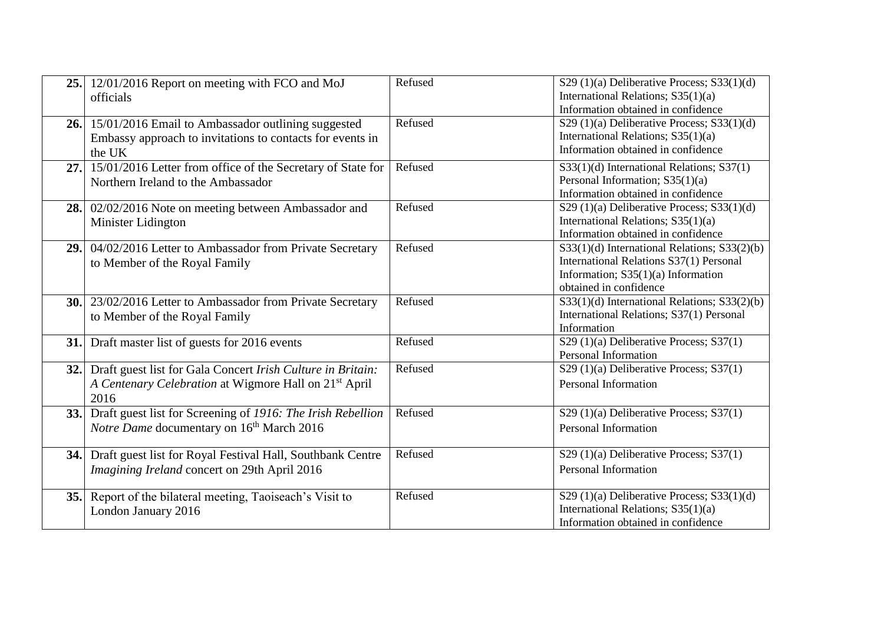|     | 25. 12/01/2016 Report on meeting with FCO and MoJ<br>officials                                                                           | Refused | S29 $(1)(a)$ Deliberative Process; S33 $(1)(d)$<br>International Relations; S35(1)(a)<br>Information obtained in confidence                               |
|-----|------------------------------------------------------------------------------------------------------------------------------------------|---------|-----------------------------------------------------------------------------------------------------------------------------------------------------------|
|     | 26. 15/01/2016 Email to Ambassador outlining suggested<br>Embassy approach to invitations to contacts for events in<br>the UK            | Refused | S29 $(1)(a)$ Deliberative Process; S33 $(1)(d)$<br>International Relations; S35(1)(a)<br>Information obtained in confidence                               |
| 27. | 15/01/2016 Letter from office of the Secretary of State for<br>Northern Ireland to the Ambassador                                        | Refused | S33(1)(d) International Relations; S37(1)<br>Personal Information; S35(1)(a)<br>Information obtained in confidence                                        |
|     | 28. 02/02/2016 Note on meeting between Ambassador and<br>Minister Lidington                                                              | Refused | S29 $(1)(a)$ Deliberative Process; S33 $(1)(d)$<br>International Relations; S35(1)(a)<br>Information obtained in confidence                               |
|     | 29. 04/02/2016 Letter to Ambassador from Private Secretary<br>to Member of the Royal Family                                              | Refused | S33(1)(d) International Relations; S33(2)(b)<br>International Relations S37(1) Personal<br>Information; $S35(1)(a)$ Information<br>obtained in confidence |
|     | <b>30.</b> 23/02/2016 Letter to Ambassador from Private Secretary<br>to Member of the Royal Family                                       | Refused | S33(1)(d) International Relations; S33(2)(b)<br>International Relations; S37(1) Personal<br>Information                                                   |
| 31. | Draft master list of guests for 2016 events                                                                                              | Refused | $S29(1)(a)$ Deliberative Process; $S37(1)$<br>Personal Information                                                                                        |
| 32. | Draft guest list for Gala Concert Irish Culture in Britain:<br>A Centenary Celebration at Wigmore Hall on 21 <sup>st</sup> April<br>2016 | Refused | $S29(1)(a)$ Deliberative Process; $S37(1)$<br><b>Personal Information</b>                                                                                 |
|     | 33. Draft guest list for Screening of 1916: The Irish Rebellion<br>Notre Dame documentary on 16 <sup>th</sup> March 2016                 | Refused | $S29(1)(a)$ Deliberative Process; $S37(1)$<br><b>Personal Information</b>                                                                                 |
| 34. | Draft guest list for Royal Festival Hall, Southbank Centre<br>Imagining Ireland concert on 29th April 2016                               | Refused | S29 (1)(a) Deliberative Process; S37(1)<br><b>Personal Information</b>                                                                                    |
|     | 35. Report of the bilateral meeting, Taoiseach's Visit to<br>London January 2016                                                         | Refused | S29 $(1)(a)$ Deliberative Process; S33 $(1)(d)$<br>International Relations; S35(1)(a)<br>Information obtained in confidence                               |